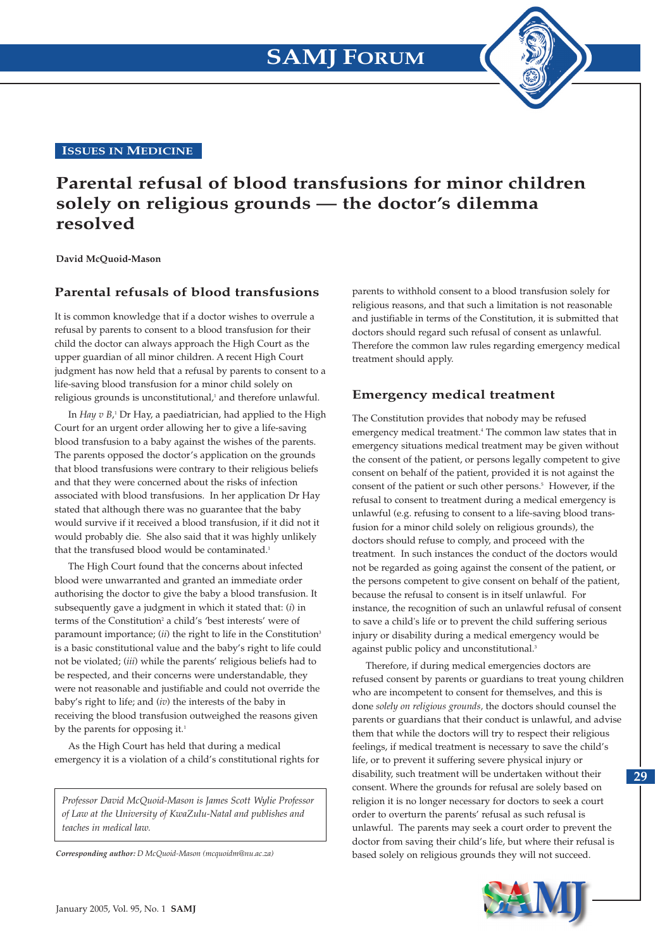**ISSUES IN MEDICINE**

## **Parental refusal of blood transfusions for minor children solely on religious grounds — the doctor's dilemma resolved**

**David McQuoid-Mason**

#### **Parental refusals of blood transfusions**

It is common knowledge that if a doctor wishes to overrule a refusal by parents to consent to a blood transfusion for their child the doctor can always approach the High Court as the upper guardian of all minor children. A recent High Court judgment has now held that a refusal by parents to consent to a life-saving blood transfusion for a minor child solely on religious grounds is unconstitutional,<sup>1</sup> and therefore unlawful.

In *Hay v B*,<sup>1</sup> Dr Hay, a paediatrician, had applied to the High Court for an urgent order allowing her to give a life-saving blood transfusion to a baby against the wishes of the parents. The parents opposed the doctor's application on the grounds that blood transfusions were contrary to their religious beliefs and that they were concerned about the risks of infection associated with blood transfusions. In her application Dr Hay stated that although there was no guarantee that the baby would survive if it received a blood transfusion, if it did not it would probably die. She also said that it was highly unlikely that the transfused blood would be contaminated.<sup>1</sup>

The High Court found that the concerns about infected blood were unwarranted and granted an immediate order authorising the doctor to give the baby a blood transfusion. It subsequently gave a judgment in which it stated that: (*i*) in terms of the Constitution<sup>2</sup> a child's 'best interests' were of paramount importance; (*ii*) the right to life in the Constitution<sup>3</sup> is a basic constitutional value and the baby's right to life could not be violated; (*iii*) while the parents' religious beliefs had to be respected, and their concerns were understandable, they were not reasonable and justifiable and could not override the baby's right to life; and (*iv*) the interests of the baby in receiving the blood transfusion outweighed the reasons given by the parents for opposing it.<sup>1</sup>

As the High Court has held that during a medical emergency it is a violation of a child's constitutional rights for

*Professor David McQuoid-Mason is James Scott Wylie Professor of Law at the University of KwaZulu-Natal and publishes and teaches in medical law.*

*Corresponding author: D McQuoid-Mason (mcquoidm@nu.ac.za)*

parents to withhold consent to a blood transfusion solely for religious reasons, and that such a limitation is not reasonable and justifiable in terms of the Constitution, it is submitted that doctors should regard such refusal of consent as unlawful. Therefore the common law rules regarding emergency medical treatment should apply.

### **Emergency medical treatment**

The Constitution provides that nobody may be refused emergency medical treatment.4 The common law states that in emergency situations medical treatment may be given without the consent of the patient, or persons legally competent to give consent on behalf of the patient, provided it is not against the consent of the patient or such other persons.<sup>5</sup> However, if the refusal to consent to treatment during a medical emergency is unlawful (e.g. refusing to consent to a life-saving blood transfusion for a minor child solely on religious grounds), the doctors should refuse to comply, and proceed with the treatment. In such instances the conduct of the doctors would not be regarded as going against the consent of the patient, or the persons competent to give consent on behalf of the patient, because the refusal to consent is in itself unlawful. For instance, the recognition of such an unlawful refusal of consent to save a child's life or to prevent the child suffering serious injury or disability during a medical emergency would be against public policy and unconstitutional.<sup>3</sup>

Therefore, if during medical emergencies doctors are refused consent by parents or guardians to treat young children who are incompetent to consent for themselves, and this is done *solely on religious grounds,* the doctors should counsel the parents or guardians that their conduct is unlawful, and advise them that while the doctors will try to respect their religious feelings, if medical treatment is necessary to save the child's life, or to prevent it suffering severe physical injury or disability, such treatment will be undertaken without their consent. Where the grounds for refusal are solely based on religion it is no longer necessary for doctors to seek a court order to overturn the parents' refusal as such refusal is unlawful. The parents may seek a court order to prevent the doctor from saving their child's life, but where their refusal is based solely on religious grounds they will not succeed.



**29**